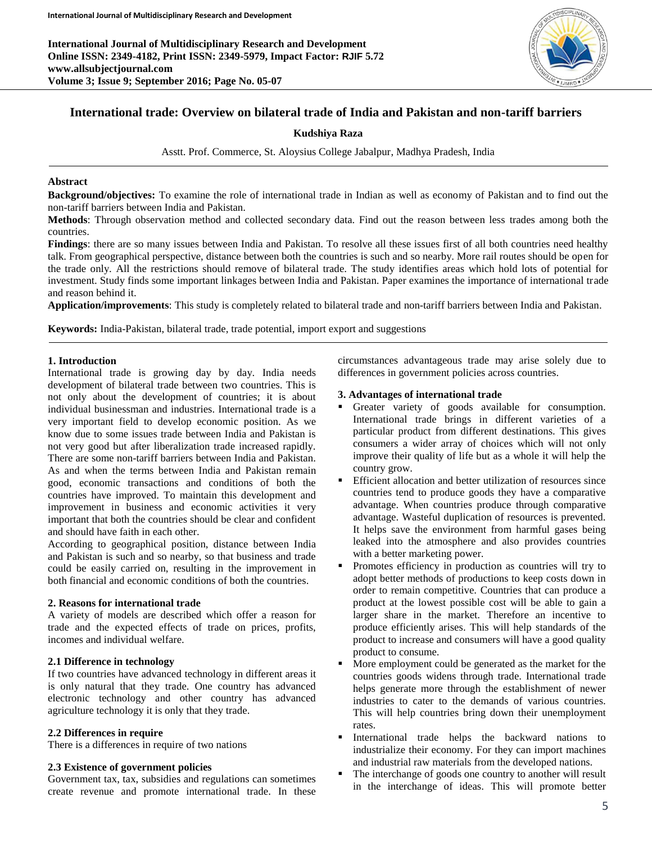**International Journal of Multidisciplinary Research and Development Online ISSN: 2349-4182, Print ISSN: 2349-5979, Impact Factor: RJIF 5.72 www.allsubjectjournal.com Volume 3; Issue 9; September 2016; Page No. 05-07**



# **International trade: Overview on bilateral trade of India and Pakistan and non-tariff barriers**

## **Kudshiya Raza**

Asstt. Prof. Commerce, St. Aloysius College Jabalpur, Madhya Pradesh, India

### **Abstract**

**Background/objectives:** To examine the role of international trade in Indian as well as economy of Pakistan and to find out the non-tariff barriers between India and Pakistan.

**Methods**: Through observation method and collected secondary data. Find out the reason between less trades among both the countries.

**Findings**: there are so many issues between India and Pakistan. To resolve all these issues first of all both countries need healthy talk. From geographical perspective, distance between both the countries is such and so nearby. More rail routes should be open for the trade only. All the restrictions should remove of bilateral trade. The study identifies areas which hold lots of potential for investment. Study finds some important linkages between India and Pakistan. Paper examines the importance of international trade and reason behind it.

**Application/improvements**: This study is completely related to bilateral trade and non-tariff barriers between India and Pakistan.

**Keywords:** India-Pakistan, bilateral trade, trade potential, import export and suggestions

### **1. Introduction**

International trade is growing day by day. India needs development of bilateral trade between two countries. This is not only about the development of countries; it is about individual businessman and industries. International trade is a very important field to develop economic position. As we know due to some issues trade between India and Pakistan is not very good but after liberalization trade increased rapidly. There are some non-tariff barriers between India and Pakistan. As and when the terms between India and Pakistan remain good, economic transactions and conditions of both the countries have improved. To maintain this development and improvement in business and economic activities it very important that both the countries should be clear and confident and should have faith in each other.

According to geographical position, distance between India and Pakistan is such and so nearby, so that business and trade could be easily carried on, resulting in the improvement in both financial and economic conditions of both the countries.

## **2. Reasons for international trade**

A variety of models are described which offer a reason for trade and the expected effects of trade on prices, profits, incomes and individual welfare.

## **2.1 Difference in technology**

If two countries have advanced technology in different areas it is only natural that they trade. One country has advanced electronic technology and other country has advanced agriculture technology it is only that they trade.

## **2.2 Differences in require**

There is a differences in require of two nations

### **2.3 Existence of government policies**

Government tax, tax, subsidies and regulations can sometimes create revenue and promote international trade. In these circumstances advantageous trade may arise solely due to differences in government policies across countries.

## **3. Advantages of international trade**

- Greater variety of goods available for consumption. International trade brings in different varieties of a particular product from different destinations. This gives consumers a wider array of choices which will not only improve their quality of life but as a whole it will help the country grow.
- Efficient allocation and better utilization of resources since countries tend to produce goods they have a comparative advantage. When countries produce through comparative advantage. Wasteful duplication of resources is prevented. It helps save the environment from harmful gases being leaked into the atmosphere and also provides countries with a better marketing power.
- Promotes efficiency in production as countries will try to adopt better methods of productions to keep costs down in order to remain competitive. Countries that can produce a product at the lowest possible cost will be able to gain a larger share in the market. Therefore an incentive to produce efficiently arises. This will help standards of the product to increase and consumers will have a good quality product to consume.
- More employment could be generated as the market for the countries goods widens through trade. International trade helps generate more through the establishment of newer industries to cater to the demands of various countries. This will help countries bring down their unemployment rates.
- International trade helps the backward nations to industrialize their economy. For they can import machines and industrial raw materials from the developed nations.
- The interchange of goods one country to another will result in the interchange of ideas. This will promote better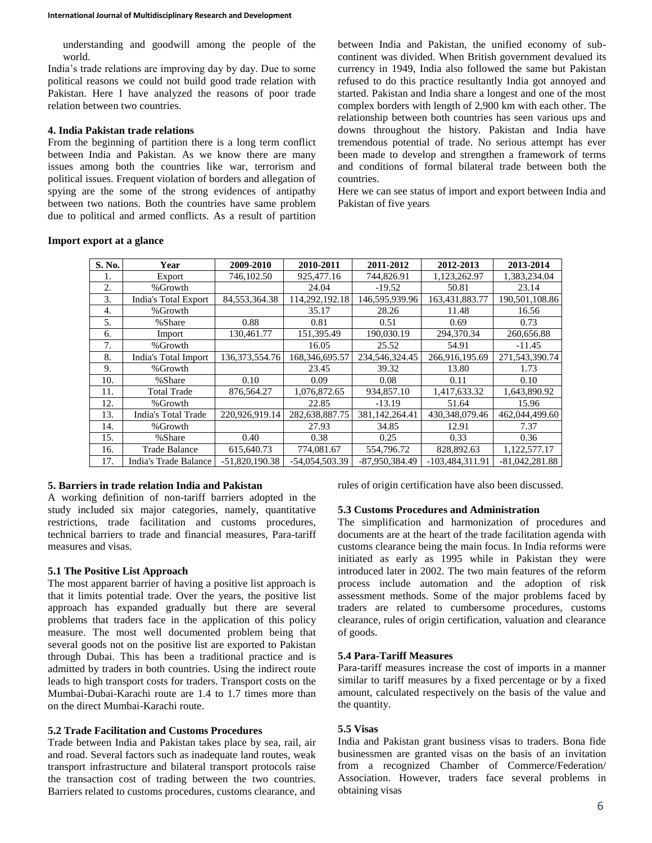understanding and goodwill among the people of the world.

India's trade relations are improving day by day. Due to some political reasons we could not build good trade relation with Pakistan. Here I have analyzed the reasons of poor trade relation between two countries.

## **4. India Pakistan trade relations**

From the beginning of partition there is a long term conflict between India and Pakistan. As we know there are many issues among both the countries like war, terrorism and political issues. Frequent violation of borders and allegation of spying are the some of the strong evidences of antipathy between two nations. Both the countries have same problem due to political and armed conflicts. As a result of partition between India and Pakistan, the unified economy of subcontinent was divided. When British government devalued its currency in 1949, India also followed the same but Pakistan refused to do this practice resultantly India got annoyed and started. Pakistan and India share a longest and one of the most complex borders with length of 2,900 km with each other. The relationship between both countries has seen various ups and downs throughout the history. Pakistan and India have tremendous potential of trade. No serious attempt has ever been made to develop and strengthen a framework of terms and conditions of formal bilateral trade between both the countries.

Here we can see status of import and export between India and Pakistan of five years

#### **Import export at a glance**

| S. No. | Year                  | 2009-2010         | 2010-2011      | 2011-2012      | 2012-2013       | 2013-2014        |
|--------|-----------------------|-------------------|----------------|----------------|-----------------|------------------|
| 1.     | Export                | 746,102.50        | 925,477.16     | 744,826.91     | 1,123,262.97    | 1,383,234.04     |
| 2.     | %Growth               |                   | 24.04          | $-19.52$       | 50.81           | 23.14            |
| 3.     | India's Total Export  | 84,553,364.38     | 114,292,192.18 | 146,595,939.96 | 163,431,883.77  | 190,501,108.86   |
| 4.     | %Growth               |                   | 35.17          | 28.26          | 11.48           | 16.56            |
| 5.     | %Share                | 0.88              | 0.81           | 0.51           | 0.69            | 0.73             |
| 6.     | Import                | 130.461.77        | 151,395.49     | 190.030.19     | 294.370.34      | 260,656.88       |
| 7.     | %Growth               |                   | 16.05          | 25.52          | 54.91           | $-11.45$         |
| 8.     | India's Total Import  | 136, 373, 554. 76 | 168,346,695.57 | 234,546,324.45 | 266,916,195.69  | 271,543,390.74   |
| 9.     | %Growth               |                   | 23.45          | 39.32          | 13.80           | 1.73             |
| 10.    | %Share                | 0.10              | 0.09           | 0.08           | 0.11            | 0.10             |
| 11.    | <b>Total Trade</b>    | 876.564.27        | 1,076,872.65   | 934,857.10     | 1,417,633.32    | 1,643,890.92     |
| 12.    | %Growth               |                   | 22.85          | $-13.19$       | 51.64           | 15.96            |
| 13.    | India's Total Trade   | 220.926.919.14    | 282,638,887.75 | 381,142,264.41 | 430.348.079.46  | 462,044,499.60   |
| 14.    | %Growth               |                   | 27.93          | 34.85          | 12.91           | 7.37             |
| 15.    | %Share                | 0.40              | 0.38           | 0.25           | 0.33            | 0.36             |
| 16.    | <b>Trade Balance</b>  | 615,640.73        | 774,081.67     | 554,796.72     | 828,892.63      | 1,122,577.17     |
| 17.    | India's Trade Balance | $-51,820,190,38$  | -54.054.503.39 | -87.950.384.49 | -103.484.311.91 | $-81,042,281.88$ |

### **5. Barriers in trade relation India and Pakistan**

A working definition of non-tariff barriers adopted in the study included six major categories, namely, quantitative restrictions, trade facilitation and customs procedures, technical barriers to trade and financial measures, Para-tariff measures and visas.

#### **5.1 The Positive List Approach**

The most apparent barrier of having a positive list approach is that it limits potential trade. Over the years, the positive list approach has expanded gradually but there are several problems that traders face in the application of this policy measure. The most well documented problem being that several goods not on the positive list are exported to Pakistan through Dubai. This has been a traditional practice and is admitted by traders in both countries. Using the indirect route leads to high transport costs for traders. Transport costs on the Mumbai-Dubai-Karachi route are 1.4 to 1.7 times more than on the direct Mumbai-Karachi route.

#### **5.2 Trade Facilitation and Customs Procedures**

Trade between India and Pakistan takes place by sea, rail, air and road. Several factors such as inadequate land routes, weak transport infrastructure and bilateral transport protocols raise the transaction cost of trading between the two countries. Barriers related to customs procedures, customs clearance, and rules of origin certification have also been discussed.

#### **5.3 Customs Procedures and Administration**

The simplification and harmonization of procedures and documents are at the heart of the trade facilitation agenda with customs clearance being the main focus. In India reforms were initiated as early as 1995 while in Pakistan they were introduced later in 2002. The two main features of the reform process include automation and the adoption of risk assessment methods. Some of the major problems faced by traders are related to cumbersome procedures, customs clearance, rules of origin certification, valuation and clearance of goods.

#### **5.4 Para-Tariff Measures**

Para-tariff measures increase the cost of imports in a manner similar to tariff measures by a fixed percentage or by a fixed amount, calculated respectively on the basis of the value and the quantity.

#### **5.5 Visas**

India and Pakistan grant business visas to traders. Bona fide businessmen are granted visas on the basis of an invitation from a recognized Chamber of Commerce/Federation/ Association. However, traders face several problems in obtaining visas